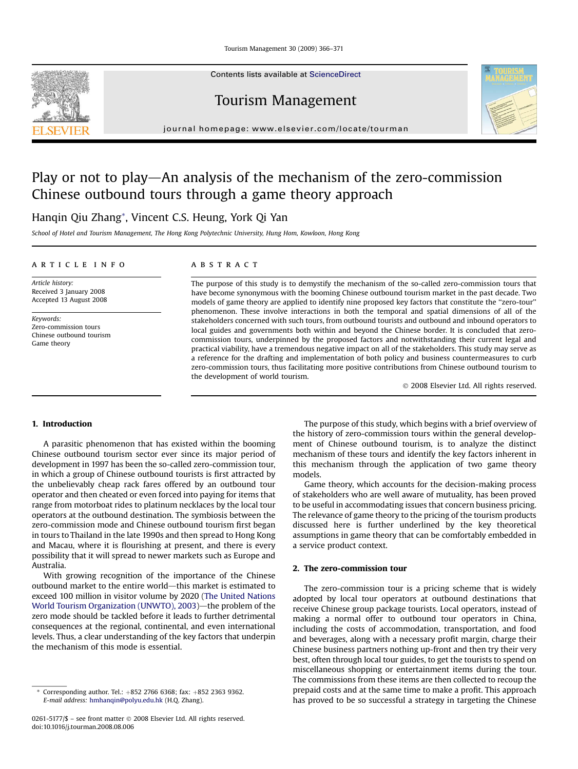Tourism Management 30 (2009) 366–371

Contents lists available at [ScienceDirect](www.sciencedirect.com/science/journal/02615177)

Tourism Management

journal homepage: [www.elsevier.com/locate/tourman](http://www.elsevier.com/locate/tourman)

## Play or not to play—An analysis of the mechanism of the zero-commission Chinese outbound tours through a game theory approach

Hanqin Qiu Zhang\*, Vincent C.S. Heung, York Qi Yan

School of Hotel and Tourism Management, The Hong Kong Polytechnic University, Hung Hom, Kowloon, Hong Kong

### article info

Article history: Received 3 January 2008 Accepted 13 August 2008

Keywords: Zero-commission tours Chinese outbound tourism Game theory

### **ABSTRACT**

The purpose of this study is to demystify the mechanism of the so-called zero-commission tours that have become synonymous with the booming Chinese outbound tourism market in the past decade. Two models of game theory are applied to identify nine proposed key factors that constitute the ''zero-tour'' phenomenon. These involve interactions in both the temporal and spatial dimensions of all of the stakeholders concerned with such tours, from outbound tourists and outbound and inbound operators to local guides and governments both within and beyond the Chinese border. It is concluded that zerocommission tours, underpinned by the proposed factors and notwithstanding their current legal and practical viability, have a tremendous negative impact on all of the stakeholders. This study may serve as a reference for the drafting and implementation of both policy and business countermeasures to curb zero-commission tours, thus facilitating more positive contributions from Chinese outbound tourism to the development of world tourism.

- 2008 Elsevier Ltd. All rights reserved.

### 1. Introduction

A parasitic phenomenon that has existed within the booming Chinese outbound tourism sector ever since its major period of development in 1997 has been the so-called zero-commission tour, in which a group of Chinese outbound tourists is first attracted by the unbelievably cheap rack fares offered by an outbound tour operator and then cheated or even forced into paying for items that range from motorboat rides to platinum necklaces by the local tour operators at the outbound destination. The symbiosis between the zero-commission mode and Chinese outbound tourism first began in tours to Thailand in the late 1990s and then spread to Hong Kong and Macau, where it is flourishing at present, and there is every possibility that it will spread to newer markets such as Europe and Australia.

With growing recognition of the importance of the Chinese outbound market to the entire world—this market is estimated to exceed 100 million in visitor volume by 2020 ([The United Nations](#page--1-0) [World Tourism Organization \(UNWTO\), 2003](#page--1-0))-the problem of the zero mode should be tackled before it leads to further detrimental consequences at the regional, continental, and even international levels. Thus, a clear understanding of the key factors that underpin the mechanism of this mode is essential.

The purpose of this study, which begins with a brief overview of the history of zero-commission tours within the general development of Chinese outbound tourism, is to analyze the distinct mechanism of these tours and identify the key factors inherent in this mechanism through the application of two game theory models.

Game theory, which accounts for the decision-making process of stakeholders who are well aware of mutuality, has been proved to be useful in accommodating issues that concern business pricing. The relevance of game theory to the pricing of the tourism products discussed here is further underlined by the key theoretical assumptions in game theory that can be comfortably embedded in a service product context.

#### 2. The zero-commission tour

The zero-commission tour is a pricing scheme that is widely adopted by local tour operators at outbound destinations that receive Chinese group package tourists. Local operators, instead of making a normal offer to outbound tour operators in China, including the costs of accommodation, transportation, and food and beverages, along with a necessary profit margin, charge their Chinese business partners nothing up-front and then try their very best, often through local tour guides, to get the tourists to spend on miscellaneous shopping or entertainment items during the tour. The commissions from these items are then collected to recoup the prepaid costs and at the same time to make a profit. This approach has proved to be so successful a strategy in targeting the Chinese





<sup>\*</sup> Corresponding author. Tel.:  $+852$  2766 6368; fax:  $+852$  2363 9362. E-mail address: [hmhanqin@polyu.edu.hk](mailto:hmhanqin@polyu.edu.hk) (H.Q. Zhang).

<sup>0261-5177/\$ –</sup> see front matter © 2008 Elsevier Ltd. All rights reserved. doi:10.1016/j.tourman.2008.08.006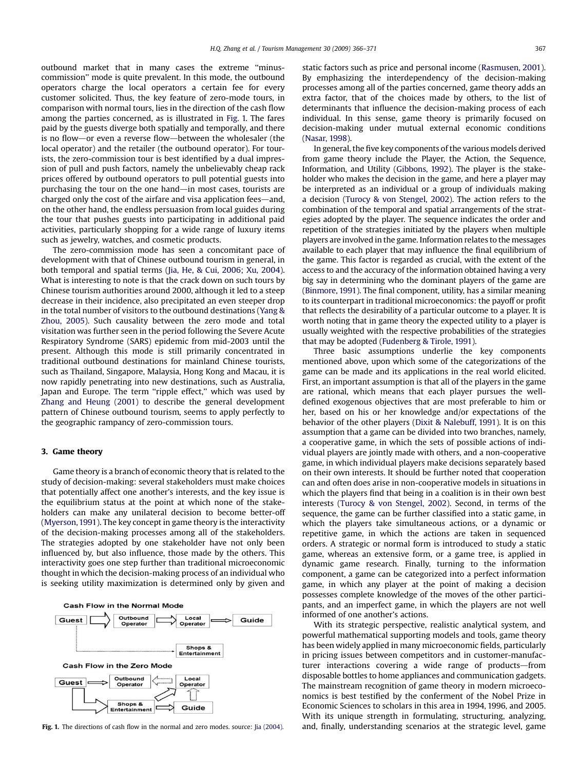outbound market that in many cases the extreme ''minuscommission'' mode is quite prevalent. In this mode, the outbound operators charge the local operators a certain fee for every customer solicited. Thus, the key feature of zero-mode tours, in comparison with normal tours, lies in the direction of the cash flow among the parties concerned, as is illustrated in Fig. 1. The fares paid by the guests diverge both spatially and temporally, and there is no flow-or even a reverse flow-between the wholesaler (the local operator) and the retailer (the outbound operator). For tourists, the zero-commission tour is best identified by a dual impression of pull and push factors, namely the unbelievably cheap rack prices offered by outbound operators to pull potential guests into purchasing the tour on the one hand—in most cases, tourists are charged only the cost of the airfare and visa application fees—and, on the other hand, the endless persuasion from local guides during the tour that pushes guests into participating in additional paid activities, particularly shopping for a wide range of luxury items such as jewelry, watches, and cosmetic products.

The zero-commission mode has seen a concomitant pace of development with that of Chinese outbound tourism in general, in both temporal and spatial terms [\(Jia, He, & Cui, 2006; Xu, 2004\)](#page--1-0). What is interesting to note is that the crack down on such tours by Chinese tourism authorities around 2000, although it led to a steep decrease in their incidence, also precipitated an even steeper drop in the total number of visitors to the outbound destinations ([Yang &](#page--1-0) [Zhou, 2005](#page--1-0)). Such causality between the zero mode and total visitation was further seen in the period following the Severe Acute Respiratory Syndrome (SARS) epidemic from mid-2003 until the present. Although this mode is still primarily concentrated in traditional outbound destinations for mainland Chinese tourists, such as Thailand, Singapore, Malaysia, Hong Kong and Macau, it is now rapidly penetrating into new destinations, such as Australia, Japan and Europe. The term ''ripple effect,'' which was used by [Zhang and Heung \(2001\)](#page--1-0) to describe the general development pattern of Chinese outbound tourism, seems to apply perfectly to the geographic rampancy of zero-commission tours.

#### 3. Game theory

Game theory is a branch of economic theory that is related to the study of decision-making: several stakeholders must make choices that potentially affect one another's interests, and the key issue is the equilibrium status at the point at which none of the stakeholders can make any unilateral decision to become better-off ([Myerson, 1991\)](#page--1-0). The key concept in game theory is the interactivity of the decision-making processes among all of the stakeholders. The strategies adopted by one stakeholder have not only been influenced by, but also influence, those made by the others. This interactivity goes one step further than traditional microeconomic thought in which the decision-making process of an individual who is seeking utility maximization is determined only by given and



static factors such as price and personal income [\(Rasmusen, 2001\)](#page--1-0). By emphasizing the interdependency of the decision-making processes among all of the parties concerned, game theory adds an extra factor, that of the choices made by others, to the list of determinants that influence the decision-making process of each individual. In this sense, game theory is primarily focused on decision-making under mutual external economic conditions ([Nasar, 1998\)](#page--1-0).

In general, the five key components of the various models derived from game theory include the Player, the Action, the Sequence, Information, and Utility ([Gibbons, 1992](#page--1-0)). The player is the stakeholder who makes the decision in the game, and here a player may be interpreted as an individual or a group of individuals making a decision [\(Turocy & von Stengel, 2002](#page--1-0)). The action refers to the combination of the temporal and spatial arrangements of the strategies adopted by the player. The sequence indicates the order and repetition of the strategies initiated by the players when multiple players are involved in the game. Information relates to the messages available to each player that may influence the final equilibrium of the game. This factor is regarded as crucial, with the extent of the access to and the accuracy of the information obtained having a very big say in determining who the dominant players of the game are [\(Binmore, 1991](#page--1-0)). The final component, utility, has a similar meaning to its counterpart in traditional microeconomics: the payoff or profit that reflects the desirability of a particular outcome to a player. It is worth noting that in game theory the expected utility to a player is usually weighted with the respective probabilities of the strategies that may be adopted [\(Fudenberg & Tirole, 1991](#page--1-0)).

Three basic assumptions underlie the key components mentioned above, upon which some of the categorizations of the game can be made and its applications in the real world elicited. First, an important assumption is that all of the players in the game are rational, which means that each player pursues the welldefined exogenous objectives that are most preferable to him or her, based on his or her knowledge and/or expectations of the behavior of the other players [\(Dixit & Nalebuff, 1991\)](#page--1-0). It is on this assumption that a game can be divided into two branches, namely, a cooperative game, in which the sets of possible actions of individual players are jointly made with others, and a non-cooperative game, in which individual players make decisions separately based on their own interests. It should be further noted that cooperation can and often does arise in non-cooperative models in situations in which the players find that being in a coalition is in their own best interests ([Turocy & von Stengel, 2002](#page--1-0)). Second, in terms of the sequence, the game can be further classified into a static game, in which the players take simultaneous actions, or a dynamic or repetitive game, in which the actions are taken in sequenced orders. A strategic or normal form is introduced to study a static game, whereas an extensive form, or a game tree, is applied in dynamic game research. Finally, turning to the information component, a game can be categorized into a perfect information game, in which any player at the point of making a decision possesses complete knowledge of the moves of the other participants, and an imperfect game, in which the players are not well informed of one another's actions.

With its strategic perspective, realistic analytical system, and powerful mathematical supporting models and tools, game theory has been widely applied in many microeconomic fields, particularly in pricing issues between competitors and in customer-manufacturer interactions covering a wide range of products-from disposable bottles to home appliances and communication gadgets. The mainstream recognition of game theory in modern microeconomics is best testified by the conferment of the Nobel Prize in Economic Sciences to scholars in this area in 1994, 1996, and 2005. With its unique strength in formulating, structuring, analyzing, Fig. 1. The directions of cash flow in the normal and zero modes. source: [Jia \(2004\)](#page--1-0). and, finally, understanding scenarios at the strategic level, game